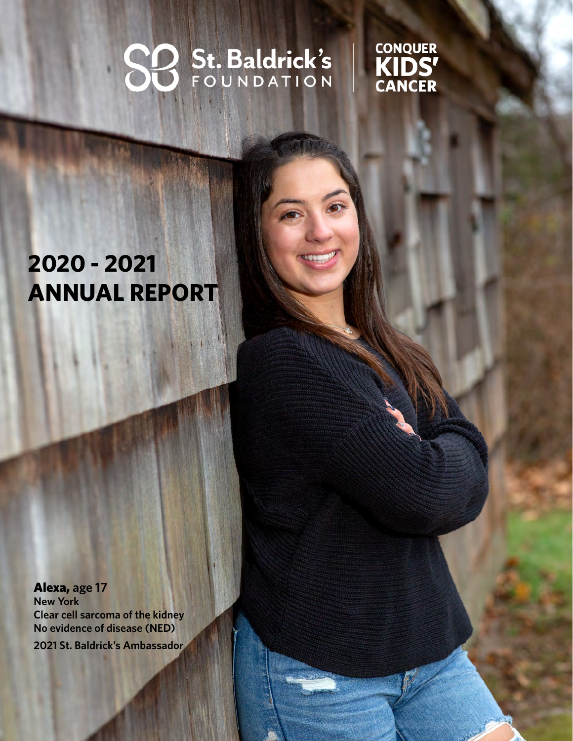# SO St. Baldrick's

ST BALDRICK 'S FOUNDATION 2020-21 AND 2020-21 AND 2020-21 AND 2020-21 AND 2020-21 AND 2020-21 AND 2020-21 AND

CONQUER<br>KIDS'<br>CANCER

## **2020 - 2021 ANNUAL REPORT**

Alexa, **age 17 New York Clear cell sarcoma of the kidney No evidence of disease (NED) 2021 St. Baldrick's Ambassador**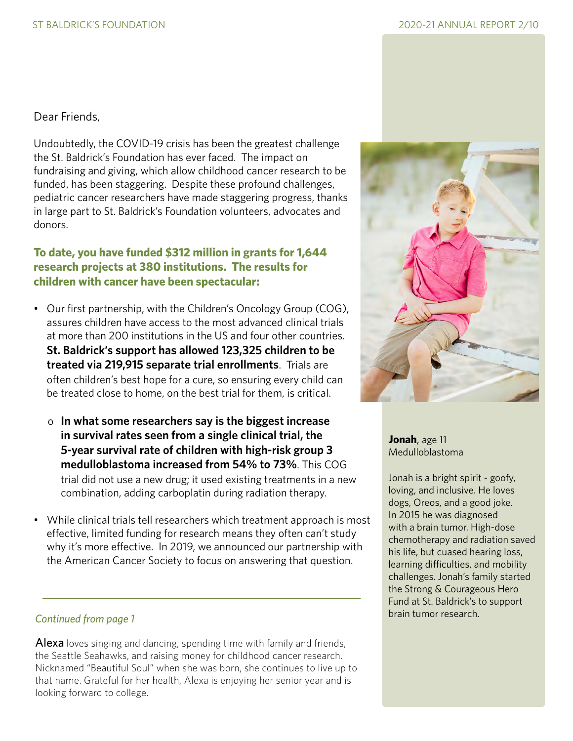Dear Friends,

Undoubtedly, the COVID-19 crisis has been the greatest challenge the St. Baldrick's Foundation has ever faced. The impact on fundraising and giving, which allow childhood cancer research to be funded, has been staggering. Despite these profound challenges, pediatric cancer researchers have made staggering progress, thanks in large part to St. Baldrick's Foundation volunteers, advocates and donors.

#### **To date, you have funded \$312 million in grants for 1,644 research projects at 380 institutions. The results for children with cancer have been spectacular:**

- Our first partnership, with the Children's Oncology Group (COG), assures children have access to the most advanced clinical trials at more than 200 institutions in the US and four other countries. **St. Baldrick's support has allowed 123,325 children to be treated via 219,915 separate trial enrollments**. Trials are often children's best hope for a cure, so ensuring every child can be treated close to home, on the best trial for them, is critical.
	- o **In what some researchers say is the biggest increase in survival rates seen from a single clinical trial, the 5-year survival rate of children with high-risk group 3 medulloblastoma increased from 54% to 73%**. This COG trial did not use a new drug; it used existing treatments in a new combination, adding carboplatin during radiation therapy.
- While clinical trials tell researchers which treatment approach is most effective, limited funding for research means they often can't study why it's more effective. In 2019, we announced our partnership with the American Cancer Society to focus on answering that question.

## brain tumor research. *Continued from page 1*

Alexa loves singing and dancing, spending time with family and friends, the Seattle Seahawks, and raising money for childhood cancer research. Nicknamed "Beautiful Soul" when she was born, she continues to live up to that name. Grateful for her health, Alexa is enjoying her senior year and is looking forward to college.



**Jonah**, age 11 Medulloblastoma

Jonah is a bright spirit - goofy, loving, and inclusive. He loves dogs, Oreos, and a good joke. In 2015 he was diagnosed with a brain tumor. High-dose chemotherapy and radiation saved his life, but cuased hearing loss, learning difficulties, and mobility challenges. Jonah's family started the Strong & Courageous Hero Fund at St. Baldrick's to support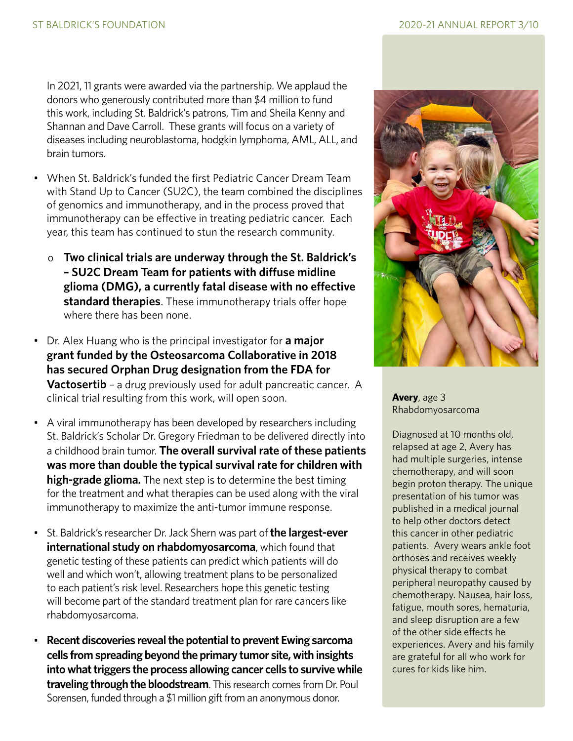In 2021, 11 grants were awarded via the partnership. We applaud the donors who generously contributed more than \$4 million to fund this work, including St. Baldrick's patrons, Tim and Sheila Kenny and Shannan and Dave Carroll. These grants will focus on a variety of diseases including neuroblastoma, hodgkin lymphoma, AML, ALL, and brain tumors.

- When St. Baldrick's funded the first Pediatric Cancer Dream Team with Stand Up to Cancer (SU2C), the team combined the disciplines of genomics and immunotherapy, and in the process proved that immunotherapy can be effective in treating pediatric cancer. Each year, this team has continued to stun the research community.
	- o **Two clinical trials are underway through the St. Baldrick's – SU2C Dream Team for patients with diffuse midline glioma (DMG), a currently fatal disease with no effective standard therapies**. These immunotherapy trials offer hope where there has been none.
- Dr. Alex Huang who is the principal investigator for **a major grant funded by the Osteosarcoma Collaborative in 2018 has secured Orphan Drug designation from the FDA for Vactosertib** – a drug previously used for adult pancreatic cancer. A clinical trial resulting from this work, will open soon.
- A viral immunotherapy has been developed by researchers including St. Baldrick's Scholar Dr. Gregory Friedman to be delivered directly into a childhood brain tumor. **The overall survival rate of these patients was more than double the typical survival rate for children with high-grade glioma.** The next step is to determine the best timing for the treatment and what therapies can be used along with the viral immunotherapy to maximize the anti-tumor immune response.
- St. Baldrick's researcher Dr. Jack Shern was part of **the largest-ever international study on rhabdomyosarcoma**, which found that genetic testing of these patients can predict which patients will do well and which won't, allowing treatment plans to be personalized to each patient's risk level. Researchers hope this genetic testing will become part of the standard treatment plan for rare cancers like rhabdomyosarcoma.
- **Recent discoveries reveal the potential to prevent Ewing sarcoma cells from spreading beyond the primary tumor site, with insights into what triggers the process allowing cancer cells to survive while traveling through the bloodstream**. This research comes from Dr. Poul Sorensen, funded through a \$1 million gift from an anonymous donor.



**Avery**, age 3 Rhabdomyosarcoma

Diagnosed at 10 months old, relapsed at age 2, Avery has had multiple surgeries, intense chemotherapy, and will soon begin proton therapy. The unique presentation of his tumor was published in a medical journal to help other doctors detect this cancer in other pediatric patients. Avery wears ankle foot orthoses and receives weekly physical therapy to combat peripheral neuropathy caused by chemotherapy. Nausea, hair loss, fatigue, mouth sores, hematuria, and sleep disruption are a few of the other side effects he experiences. Avery and his family are grateful for all who work for cures for kids like him.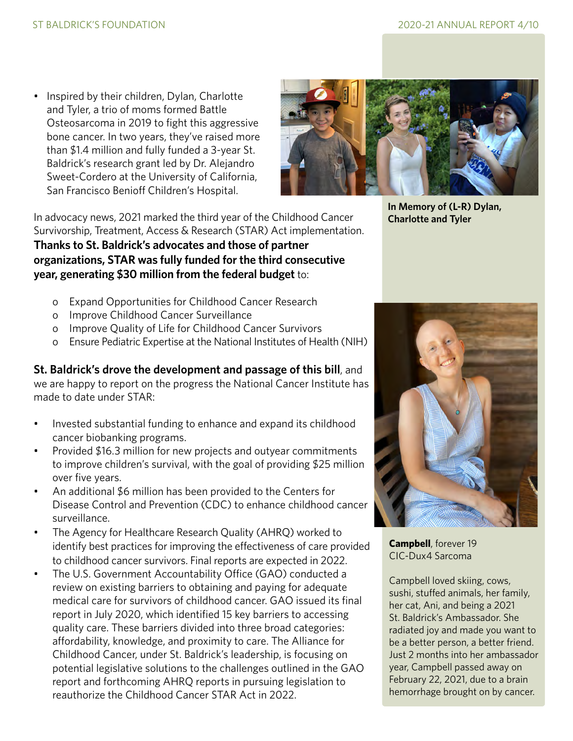• Inspired by their children, Dylan, Charlotte and Tyler, a trio of moms formed Battle Osteosarcoma in 2019 to fight this aggressive bone cancer. In two years, they've raised more than \$1.4 million and fully funded a 3-year St. Baldrick's research grant led by Dr. Alejandro Sweet-Cordero at the University of California, San Francisco Benioff Children's Hospital.



In advocacy news, 2021 marked the third year of the Childhood Cancer Survivorship, Treatment, Access & Research (STAR) Act implementation. **Thanks to St. Baldrick's advocates and those of partner organizations, STAR was fully funded for the third consecutive year, generating \$30 million from the federal budget** to:

- o Expand Opportunities for Childhood Cancer Research
- o Improve Childhood Cancer Surveillance
- o Improve Quality of Life for Childhood Cancer Survivors
- o Ensure Pediatric Expertise at the National Institutes of Health (NIH)

**St. Baldrick's drove the development and passage of this bill**, and we are happy to report on the progress the National Cancer Institute has made to date under STAR:

- Invested substantial funding to enhance and expand its childhood cancer biobanking programs.
- Provided \$16.3 million for new projects and outyear commitments to improve children's survival, with the goal of providing \$25 million over five years.
- An additional \$6 million has been provided to the Centers for Disease Control and Prevention (CDC) to enhance childhood cancer surveillance.
- The Agency for Healthcare Research Quality (AHRQ) worked to identify best practices for improving the effectiveness of care provided to childhood cancer survivors. Final reports are expected in 2022.
- The U.S. Government Accountability Office (GAO) conducted a review on existing barriers to obtaining and paying for adequate medical care for survivors of childhood cancer. GAO issued its final report in July 2020, which identified 15 key barriers to accessing quality care. These barriers divided into three broad categories: affordability, knowledge, and proximity to care. The Alliance for Childhood Cancer, under St. Baldrick's leadership, is focusing on potential legislative solutions to the challenges outlined in the GAO report and forthcoming AHRQ reports in pursuing legislation to reauthorize the Childhood Cancer STAR Act in 2022.

**In Memory of (L-R) Dylan, Charlotte and Tyler**



**Campbell**, forever 19 CIC-Dux4 Sarcoma

Campbell loved skiing, cows, sushi, stuffed animals, her family, her cat, Ani, and being a 2021 St. Baldrick's Ambassador. She radiated joy and made you want to be a better person, a better friend. Just 2 months into her ambassador year, Campbell passed away on February 22, 2021, due to a brain hemorrhage brought on by cancer.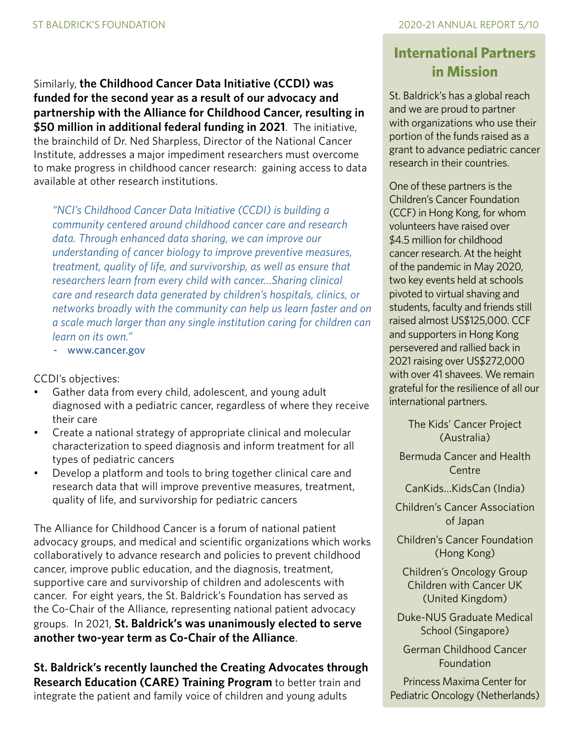Similarly, **the Childhood Cancer Data Initiative (CCDI) was funded for the second year as a result of our advocacy and partnership with the Alliance for Childhood Cancer, resulting in \$50 million in additional federal funding in 2021**. The initiative, the brainchild of Dr. Ned Sharpless, Director of the National Cancer Institute, addresses a major impediment researchers must overcome to make progress in childhood cancer research: gaining access to data available at other research institutions.

*"NCI's Childhood Cancer Data Initiative (CCDI) is building a community centered around childhood cancer care and research data. Through enhanced data sharing, we can improve our understanding of cancer biology to improve preventive measures, treatment, quality of life, and survivorship, as well as ensure that researchers learn from every child with cancer…Sharing clinical care and research data generated by children's hospitals, clinics, or networks broadly with the community can help us learn faster and on a scale much larger than any single institution caring for children can learn on its own."* 

- www.cancer.gov

CCDI's objectives:

- Gather data from every child, adolescent, and young adult diagnosed with a pediatric cancer, regardless of where they receive their care
- Create a national strategy of appropriate clinical and molecular characterization to speed diagnosis and inform treatment for all types of pediatric cancers
- Develop a platform and tools to bring together clinical care and research data that will improve preventive measures, treatment, quality of life, and survivorship for pediatric cancers

The Alliance for Childhood Cancer is a forum of national patient advocacy groups, and medical and scientific organizations which works collaboratively to advance research and policies to prevent childhood cancer, improve public education, and the diagnosis, treatment, supportive care and survivorship of children and adolescents with cancer. For eight years, the St. Baldrick's Foundation has served as the Co-Chair of the Alliance, representing national patient advocacy groups. In 2021, **St. Baldrick's was unanimously elected to serve another two-year term as Co-Chair of the Alliance**.

**St. Baldrick's recently launched the Creating Advocates through Research Education (CARE) Training Program** to better train and integrate the patient and family voice of children and young adults

## **International Partners in Mission**

St. Baldrick's has a global reach and we are proud to partner with organizations who use their portion of the funds raised as a grant to advance pediatric cancer research in their countries.

One of these partners is the Children's Cancer Foundation (CCF) in Hong Kong, for whom volunteers have raised over \$4.5 million for childhood cancer research. At the height of the pandemic in May 2020, two key events held at schools pivoted to virtual shaving and students, faculty and friends still raised almost US\$125,000. CCF and supporters in Hong Kong persevered and rallied back in 2021 raising over US\$272,000 with over 41 shavees. We remain grateful for the resilience of all our international partners.

> The Kids' Cancer Project (Australia)

Bermuda Cancer and Health Centre

CanKids…KidsCan (India)

Children's Cancer Association of Japan

Children's Cancer Foundation (Hong Kong)

Children's Oncology Group Children with Cancer UK (United Kingdom)

Duke-NUS Graduate Medical School (Singapore)

German Childhood Cancer Foundation

Princess Maxima Center for Pediatric Oncology (Netherlands)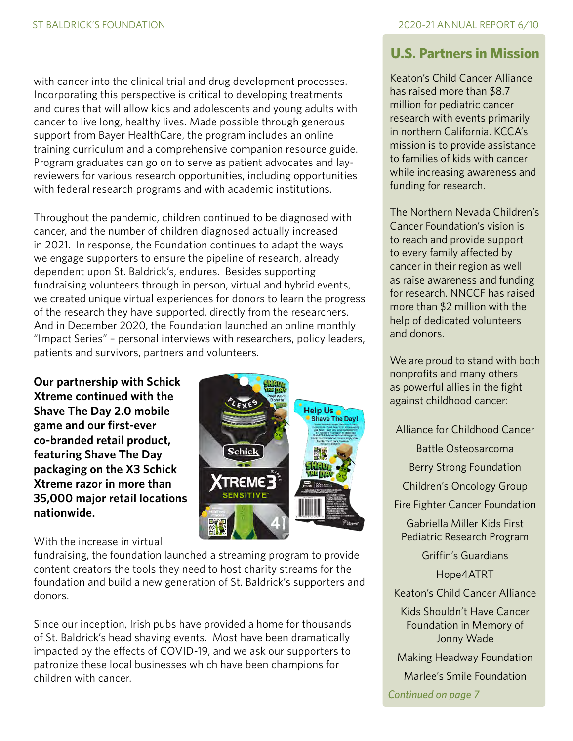with cancer into the clinical trial and drug development processes. Incorporating this perspective is critical to developing treatments and cures that will allow kids and adolescents and young adults with cancer to live long, healthy lives. Made possible through generous support from Bayer HealthCare, the program includes an online training curriculum and a comprehensive companion resource guide. Program graduates can go on to serve as patient advocates and layreviewers for various research opportunities, including opportunities with federal research programs and with academic institutions.

Throughout the pandemic, children continued to be diagnosed with cancer, and the number of children diagnosed actually increased in 2021. In response, the Foundation continues to adapt the ways we engage supporters to ensure the pipeline of research, already dependent upon St. Baldrick's, endures. Besides supporting fundraising volunteers through in person, virtual and hybrid events, we created unique virtual experiences for donors to learn the progress of the research they have supported, directly from the researchers. And in December 2020, the Foundation launched an online monthly "Impact Series" – personal interviews with researchers, policy leaders, patients and survivors, partners and volunteers.

**Our partnership with Schick Xtreme continued with the Shave The Day 2.0 mobile game and our first-ever co-branded retail product, featuring Shave The Day packaging on the X3 Schick Xtreme razor in more than 35,000 major retail locations nationwide.** 



With the increase in virtual

fundraising, the foundation launched a streaming program to provide content creators the tools they need to host charity streams for the foundation and build a new generation of St. Baldrick's supporters and donors.

Since our inception, Irish pubs have provided a home for thousands of St. Baldrick's head shaving events. Most have been dramatically impacted by the effects of COVID-19, and we ask our supporters to patronize these local businesses which have been champions for children with cancer.

## **U.S. Partners in Mission**

Keaton's Child Cancer Alliance has raised more than \$8.7 million for pediatric cancer research with events primarily in northern California. KCCA's mission is to provide assistance to families of kids with cancer while increasing awareness and funding for research.

The Northern Nevada Children's Cancer Foundation's vision is to reach and provide support to every family affected by cancer in their region as well as raise awareness and funding for research. NNCCF has raised more than \$2 million with the help of dedicated volunteers and donors.

We are proud to stand with both nonprofits and many others as powerful allies in the fight against childhood cancer:

Alliance for Childhood Cancer

Battle Osteosarcoma

Berry Strong Foundation

Children's Oncology Group

Fire Fighter Cancer Foundation

Gabriella Miller Kids First Pediatric Research Program

Griffin's Guardians

Hope4ATRT

Keaton's Child Cancer Alliance

Kids Shouldn't Have Cancer Foundation in Memory of Jonny Wade

Making Headway Foundation

Marlee's Smile Foundation

*Continued on page 7*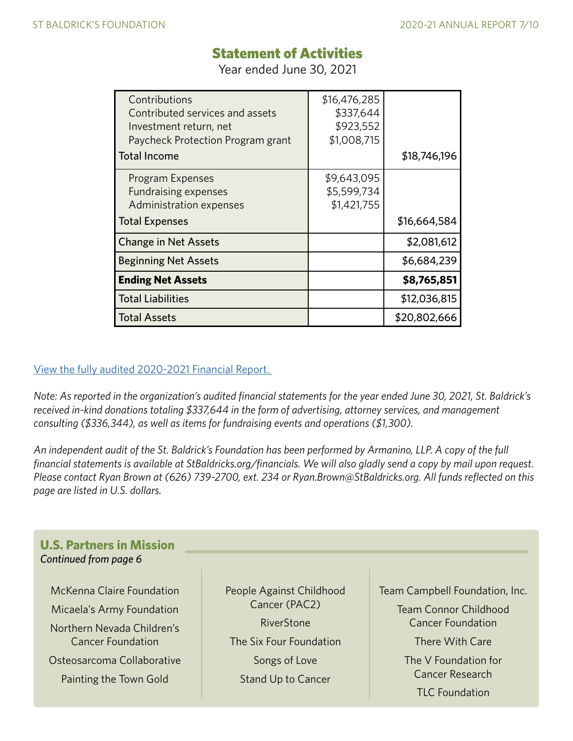## Statement of Activities

Year ended June 30, 2021

| Contributions<br>Contributed services and assets<br>Investment return, net<br>Paycheck Protection Program grant<br><b>Total Income</b> | \$16,476,285<br>\$337,644<br>\$923,552<br>\$1,008,715 | \$18,746,196 |
|----------------------------------------------------------------------------------------------------------------------------------------|-------------------------------------------------------|--------------|
| Program Expenses<br><b>Fundraising expenses</b><br>Administration expenses<br><b>Total Expenses</b>                                    | \$9,643,095<br>\$5,599,734<br>\$1,421,755             | \$16,664,584 |
| <b>Change in Net Assets</b>                                                                                                            |                                                       | \$2,081,612  |
| <b>Beginning Net Assets</b>                                                                                                            |                                                       | \$6,684,239  |
| <b>Ending Net Assets</b>                                                                                                               |                                                       | \$8,765,851  |
| <b>Total Liabilities</b>                                                                                                               |                                                       | \$12,036,815 |
| <b>Total Assets</b>                                                                                                                    |                                                       | \$20,802,666 |

#### [View the fully audited 2020-2021 Financial Report.](https://www.stbaldricks.org/file/SBF-audited-financials-2020-2021.pdf)

*Note: As reported in the organization's audited financial statements for the year ended June 30, 2021, St. Baldrick's received in-kind donations totaling \$337,644 in the form of advertising, attorney services, and management consulting (\$336,344), as well as items for fundraising events and operations (\$1,300).* 

*An independent audit of the St. Baldrick's Foundation has been performed by Armanino, LLP. A copy of the full financial statements is available at StBaldricks.org/financials. We will also gladly send a copy by mail upon request. Please contact Ryan Brown at (626) 739-2700, ext. 234 or Ryan.Brown@StBaldricks.org. All funds reflected on this page are listed in U.S. dollars.*

#### **U.S. Partners in Mission** *Continued from page 6*

McKenna Claire Foundation Micaela's Army Foundation Northern Nevada Children's Cancer Foundation Osteosarcoma Collaborative Painting the Town Gold

People Against Childhood Cancer (PAC2) RiverStone The Six Four Foundation Songs of Love Stand Up to Cancer

Team Campbell Foundation, Inc.

Team Connor Childhood Cancer Foundation

There With Care

The V Foundation for Cancer Research TLC Foundation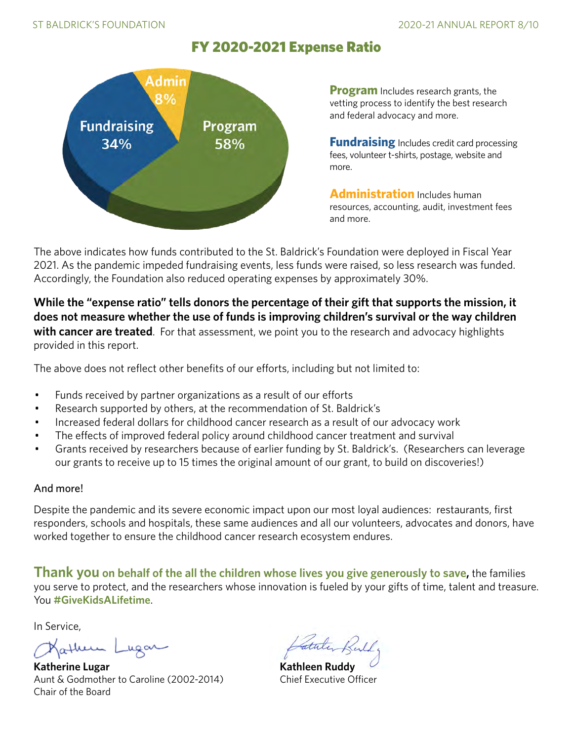## FY 2020-2021 Expense Ratio



**Program** Includes research grants, the vetting process to identify the best research and federal advocacy and more.

**Fundraising** Includes credit card processing fees, volunteer t-shirts, postage, website and more.

**Administration** Includes human resources, accounting, audit, investment fees and more.

The above indicates how funds contributed to the St. Baldrick's Foundation were deployed in Fiscal Year 2021. As the pandemic impeded fundraising events, less funds were raised, so less research was funded. Accordingly, the Foundation also reduced operating expenses by approximately 30%.

**While the "expense ratio" tells donors the percentage of their gift that supports the mission, it does not measure whether the use of funds is improving children's survival or the way children with cancer are treated**. For that assessment, we point you to the research and advocacy highlights provided in this report.

The above does not reflect other benefits of our efforts, including but not limited to:

- Funds received by partner organizations as a result of our efforts
- Research supported by others, at the recommendation of St. Baldrick's
- Increased federal dollars for childhood cancer research as a result of our advocacy work
- The effects of improved federal policy around childhood cancer treatment and survival
- Grants received by researchers because of earlier funding by St. Baldrick's. (Researchers can leverage our grants to receive up to 15 times the original amount of our grant, to build on discoveries!)

#### And more!

Despite the pandemic and its severe economic impact upon our most loyal audiences: restaurants, first responders, schools and hospitals, these same audiences and all our volunteers, advocates and donors, have worked together to ensure the childhood cancer research ecosystem endures.

**Thank you on behalf of the all the children whose lives you give generously to save,** the families you serve to protect, and the researchers whose innovation is fueled by your gifts of time, talent and treasure. You **#GiveKidsALifetime**.

In Service,

Kather Lugar

**Katherine Lugar Kathleen Ruddy** Aunt & Godmother to Caroline (2002-2014) Chief Executive Officer Chair of the Board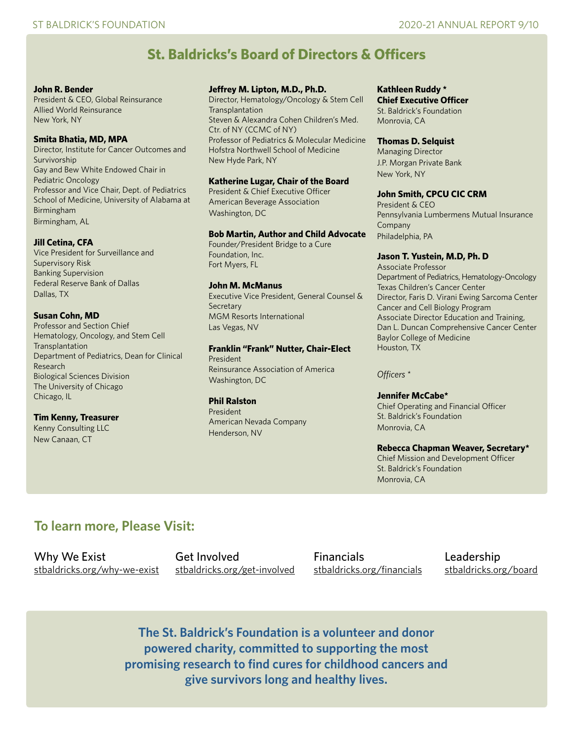## **St. Baldricks's Board of Directors & Officers**

#### **John R. Bender**

President & CEO, Global Reinsurance Allied World Reinsurance New York, NY

#### **Smita Bhatia, MD, MPA**

Director, Institute for Cancer Outcomes and Survivorship Gay and Bew White Endowed Chair in Pediatric Oncology Professor and Vice Chair, Dept. of Pediatrics School of Medicine, University of Alabama at Birmingham Birmingham, AL

#### **Jill Cetina, CFA**

Vice President for Surveillance and Supervisory Risk Banking Supervision Federal Reserve Bank of Dallas Dallas, TX

#### **Susan Cohn, MD**

Professor and Section Chief Hematology, Oncology, and Stem Cell **Transplantation** Department of Pediatrics, Dean for Clinical Research Biological Sciences Division The University of Chicago Chicago, IL

#### **Tim Kenny, Treasurer**

Kenny Consulting LLC New Canaan, CT

#### **Jeffrey M. Lipton, M.D., Ph.D.**

Director, Hematology/Oncology & Stem Cell **Transplantation** Steven & Alexandra Cohen Children's Med. Ctr. of NY (CCMC of NY) Professor of Pediatrics & Molecular Medicine Hofstra Northwell School of Medicine New Hyde Park, NY

#### **Katherine Lugar, Chair of the Board**

President & Chief Executive Officer American Beverage Association Washington, DC

#### **Bob Martin, Author and Child Advocate**

Founder/President Bridge to a Cure Foundation, Inc. Fort Myers, FL

#### **John M. McManus**

Executive Vice President, General Counsel & **Secretary** MGM Resorts International Las Vegas, NV

#### **Franklin "Frank" Nutter, Chair-Elect**

President Reinsurance Association of America Washington, DC

#### **Phil Ralston**

President American Nevada Company Henderson, NV

#### **Kathleen Ruddy \***

**Chief Executive Officer**  St. Baldrick's Foundation Monrovia, CA

#### **Thomas D. Selquist**

Managing Director J.P. Morgan Private Bank New York, NY

#### **John Smith, CPCU CIC CRM**

President & CEO Pennsylvania Lumbermens Mutual Insurance Company Philadelphia, PA

#### **Jason T. Yustein, M.D, Ph. D**

Associate Professor Department of Pediatrics, Hematology-Oncology Texas Children's Cancer Center Director, Faris D. Virani Ewing Sarcoma Center Cancer and Cell Biology Program Associate Director Education and Training, Dan L. Duncan Comprehensive Cancer Center Baylor College of Medicine Houston, TX

*Officers* \*

#### **Jennifer McCabe\***

Chief Operating and Financial Officer St. Baldrick's Foundation Monrovia, CA

#### **Rebecca Chapman Weaver, Secretary\***

Chief Mission and Development Officer St. Baldrick's Foundation Monrovia, CA

### **To learn more, Please Visit:**

Why We Exist Get Involved Financials Endership<br>
stbaldricks.org/why-we-exist stbaldricks.org/get-involved stbaldricks.org/financials stbaldricks.org/board [stbaldricks.org/why-we-exist](http://stbaldricks.org/why-we-exist) [stbaldricks.org/get-involved](http://stbaldricks.org/get-involved) [stbaldricks.org/financials](http://stbaldricks.org/financials)

**The St. Baldrick's Foundation is a volunteer and donor powered charity, committed to supporting the most promising research to find cures for childhood cancers and give survivors long and healthy lives.**